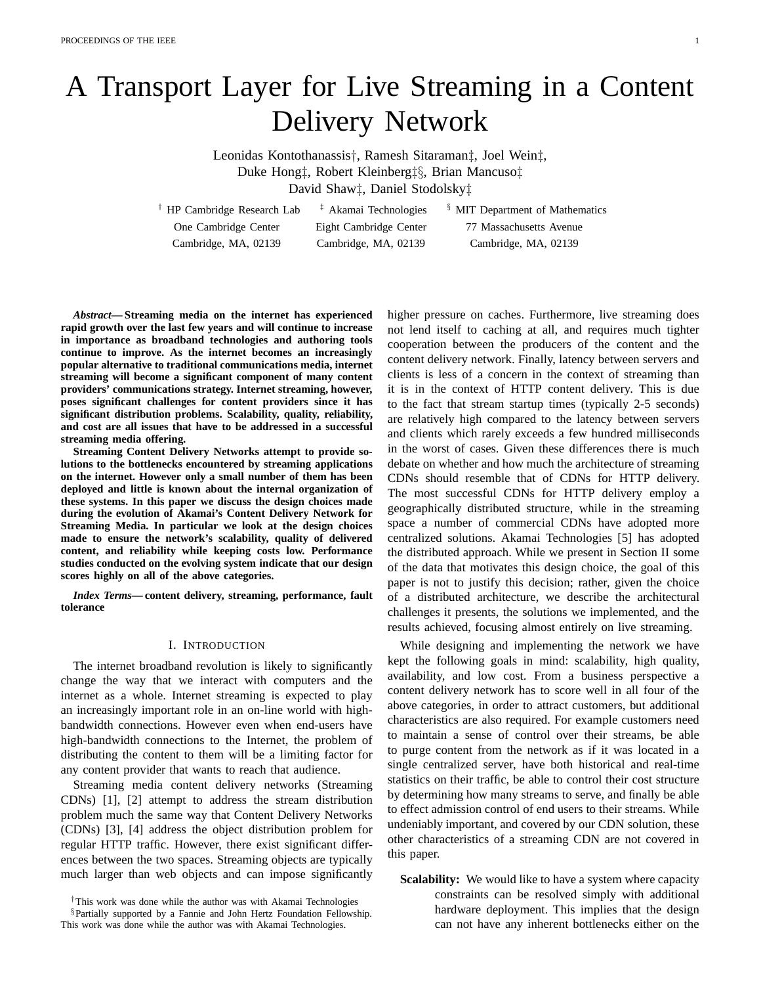# A Transport Layer for Live Streaming in a Content Delivery Network

Leonidas Kontothanassis†, Ramesh Sitaraman‡, Joel Wein‡, Duke Hong‡, Robert Kleinberg‡§, Brian Mancuso‡ David Shaw‡, Daniel Stodolsky‡

<sup>†</sup> HP Cambridge Research Lab  $\frac{1}{4}$  Akamai Technologies  $\frac{8}{3}$  MIT Department of Mathematics One Cambridge Center Eight Cambridge Center 77 Massachusetts Avenue Cambridge, MA, 02139 Cambridge, MA, 02139 Cambridge, MA, 02139

*Abstract***— Streaming media on the internet has experienced rapid growth over the last few years and will continue to increase in importance as broadband technologies and authoring tools continue to improve. As the internet becomes an increasingly popular alternative to traditional communications media, internet streaming will become a significant component of many content providers' communications strategy. Internet streaming, however, poses significant challenges for content providers since it has significant distribution problems. Scalability, quality, reliability, and cost are all issues that have to be addressed in a successful streaming media offering.**

**Streaming Content Delivery Networks attempt to provide solutions to the bottlenecks encountered by streaming applications on the internet. However only a small number of them has been deployed and little is known about the internal organization of these systems. In this paper we discuss the design choices made during the evolution of Akamai's Content Delivery Network for Streaming Media. In particular we look at the design choices made to ensure the network's scalability, quality of delivered content, and reliability while keeping costs low. Performance studies conducted on the evolving system indicate that our design scores highly on all of the above categories.**

*Index Terms***— content delivery, streaming, performance, fault tolerance**

## I. INTRODUCTION

The internet broadband revolution is likely to significantly change the way that we interact with computers and the internet as a whole. Internet streaming is expected to play an increasingly important role in an on-line world with highbandwidth connections. However even when end-users have high-bandwidth connections to the Internet, the problem of distributing the content to them will be a limiting factor for any content provider that wants to reach that audience.

Streaming media content delivery networks (Streaming CDNs) [1], [2] attempt to address the stream distribution problem much the same way that Content Delivery Networks (CDNs) [3], [4] address the object distribution problem for regular HTTP traffic. However, there exist significant differences between the two spaces. Streaming objects are typically much larger than web objects and can impose significantly

†This work was done while the author was with Akamai Technologies

higher pressure on caches. Furthermore, live streaming does not lend itself to caching at all, and requires much tighter cooperation between the producers of the content and the content delivery network. Finally, latency between servers and clients is less of a concern in the context of streaming than it is in the context of HTTP content delivery. This is due to the fact that stream startup times (typically 2-5 seconds) are relatively high compared to the latency between servers and clients which rarely exceeds a few hundred milliseconds in the worst of cases. Given these differences there is much debate on whether and how much the architecture of streaming CDNs should resemble that of CDNs for HTTP delivery. The most successful CDNs for HTTP delivery employ a geographically distributed structure, while in the streaming space a number of commercial CDNs have adopted more centralized solutions. Akamai Technologies [5] has adopted the distributed approach. While we present in Section II some of the data that motivates this design choice, the goal of this paper is not to justify this decision; rather, given the choice of a distributed architecture, we describe the architectural challenges it presents, the solutions we implemented, and the results achieved, focusing almost entirely on live streaming.

While designing and implementing the network we have kept the following goals in mind: scalability, high quality, availability, and low cost. From a business perspective a content delivery network has to score well in all four of the above categories, in order to attract customers, but additional characteristics are also required. For example customers need to maintain a sense of control over their streams, be able to purge content from the network as if it was located in a single centralized server, have both historical and real-time statistics on their traffic, be able to control their cost structure by determining how many streams to serve, and finally be able to effect admission control of end users to their streams. While undeniably important, and covered by our CDN solution, these other characteristics of a streaming CDN are not covered in this paper.

**Scalability:** We would like to have a system where capacity constraints can be resolved simply with additional hardware deployment. This implies that the design can not have any inherent bottlenecks either on the

<sup>§</sup>Partially supported by a Fannie and John Hertz Foundation Fellowship. This work was done while the author was with Akamai Technologies.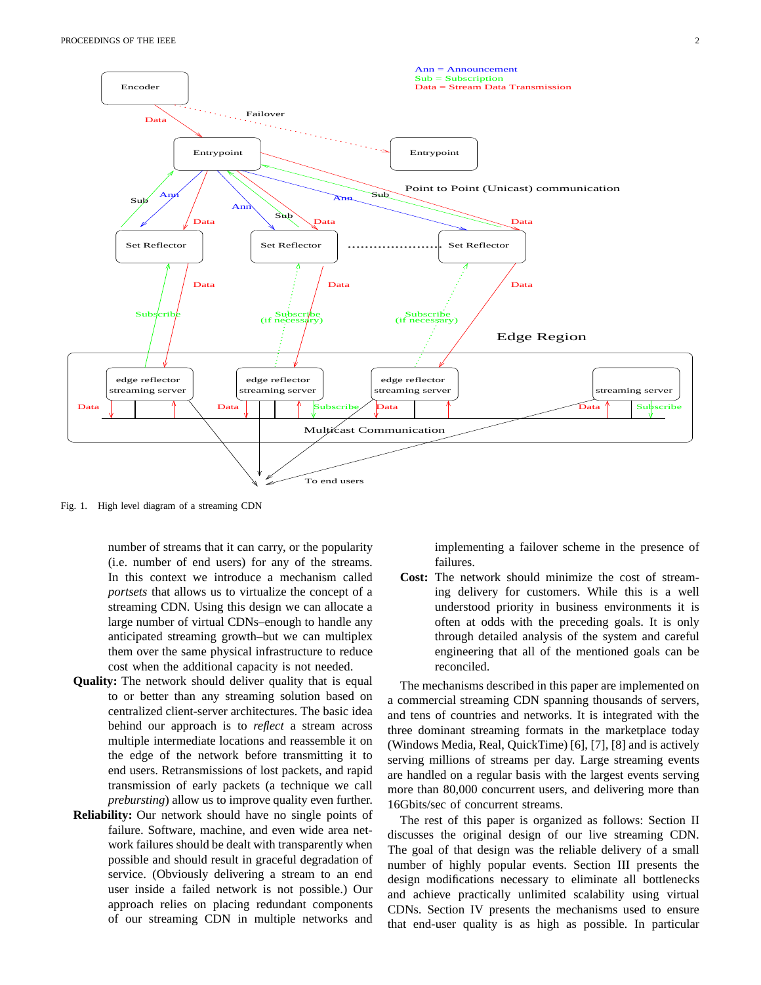

Fig. 1. High level diagram of a streaming CDN

number of streams that it can carry, or the popularity (i.e. number of end users) for any of the streams. In this context we introduce a mechanism called *portsets* that allows us to virtualize the concept of a streaming CDN. Using this design we can allocate a large number of virtual CDNs–enough to handle any anticipated streaming growth–but we can multiplex them over the same physical infrastructure to reduce cost when the additional capacity is not needed.

- **Quality:** The network should deliver quality that is equal to or better than any streaming solution based on centralized client-server architectures. The basic idea behind our approach is to *reflect* a stream across multiple intermediate locations and reassemble it on the edge of the network before transmitting it to end users. Retransmissions of lost packets, and rapid transmission of early packets (a technique we call *prebursting*) allow us to improve quality even further.
- **Reliability:** Our network should have no single points of failure. Software, machine, and even wide area network failures should be dealt with transparently when possible and should result in graceful degradation of service. (Obviously delivering a stream to an end user inside a failed network is not possible.) Our approach relies on placing redundant components of our streaming CDN in multiple networks and

implementing a failover scheme in the presence of failures.

**Cost:** The network should minimize the cost of streaming delivery for customers. While this is a well understood priority in business environments it is often at odds with the preceding goals. It is only through detailed analysis of the system and careful engineering that all of the mentioned goals can be reconciled.

The mechanisms described in this paper are implemented on a commercial streaming CDN spanning thousands of servers, and tens of countries and networks. It is integrated with the three dominant streaming formats in the marketplace today (Windows Media, Real, QuickTime) [6], [7], [8] and is actively serving millions of streams per day. Large streaming events are handled on a regular basis with the largest events serving more than 80,000 concurrent users, and delivering more than 16Gbits/sec of concurrent streams.

The rest of this paper is organized as follows: Section II discusses the original design of our live streaming CDN. The goal of that design was the reliable delivery of a small number of highly popular events. Section III presents the design modifications necessary to eliminate all bottlenecks and achieve practically unlimited scalability using virtual CDNs. Section IV presents the mechanisms used to ensure that end-user quality is as high as possible. In particular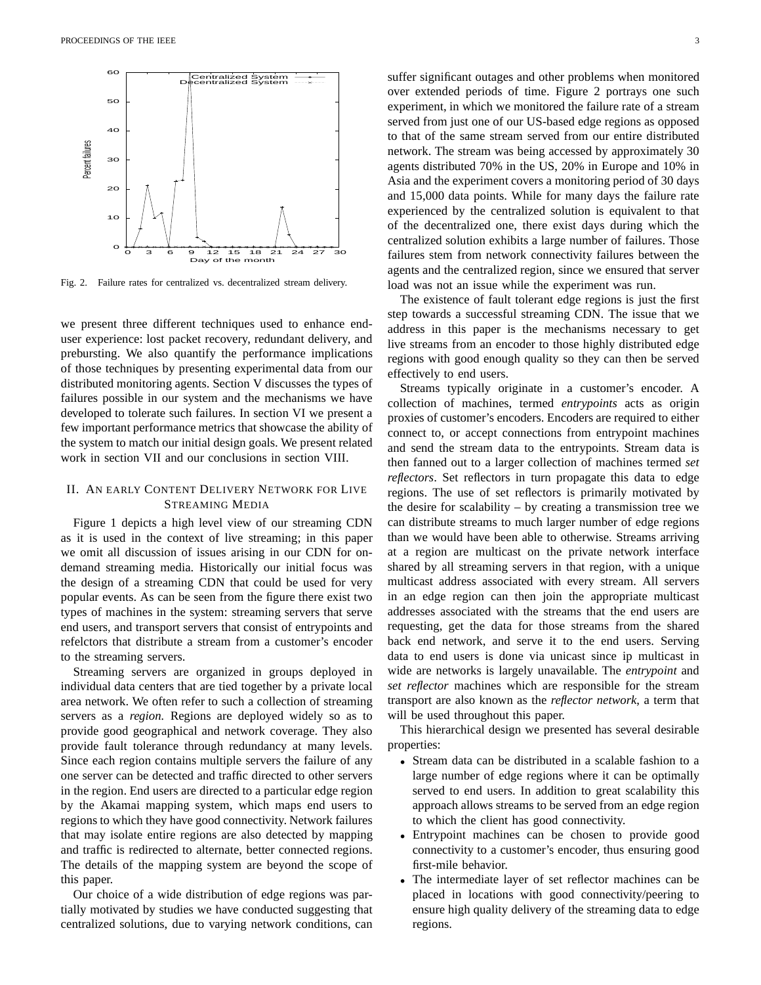

Fig. 2. Failure rates for centralized vs. decentralized stream delivery.

we present three different techniques used to enhance enduser experience: lost packet recovery, redundant delivery, and prebursting. We also quantify the performance implications of those techniques by presenting experimental data from our distributed monitoring agents. Section V discusses the types of failures possible in our system and the mechanisms we have developed to tolerate such failures. In section VI we present a few important performance metrics that showcase the ability of the system to match our initial design goals. We present related work in section VII and our conclusions in section VIII.

# II. AN EARLY CONTENT DELIVERY NETWORK FOR LIVE STREAMING MEDIA

Figure 1 depicts a high level view of our streaming CDN as it is used in the context of live streaming; in this paper we omit all discussion of issues arising in our CDN for ondemand streaming media. Historically our initial focus was the design of a streaming CDN that could be used for very popular events. As can be seen from the figure there exist two types of machines in the system: streaming servers that serve end users, and transport servers that consist of entrypoints and refelctors that distribute a stream from a customer's encoder to the streaming servers.

Streaming servers are organized in groups deployed in individual data centers that are tied together by a private local area network. We often refer to such a collection of streaming servers as a *region.* Regions are deployed widely so as to provide good geographical and network coverage. They also provide fault tolerance through redundancy at many levels. Since each region contains multiple servers the failure of any one server can be detected and traffic directed to other servers in the region. End users are directed to a particular edge region by the Akamai mapping system, which maps end users to regions to which they have good connectivity. Network failures that may isolate entire regions are also detected by mapping and traffic is redirected to alternate, better connected regions. The details of the mapping system are beyond the scope of this paper.

Our choice of a wide distribution of edge regions was partially motivated by studies we have conducted suggesting that centralized solutions, due to varying network conditions, can suffer significant outages and other problems when monitored over extended periods of time. Figure 2 portrays one such experiment, in which we monitored the failure rate of a stream served from just one of our US-based edge regions as opposed to that of the same stream served from our entire distributed network. The stream was being accessed by approximately 30 agents distributed 70% in the US, 20% in Europe and 10% in Asia and the experiment covers a monitoring period of 30 days and 15,000 data points. While for many days the failure rate experienced by the centralized solution is equivalent to that of the decentralized one, there exist days during which the centralized solution exhibits a large number of failures. Those failures stem from network connectivity failures between the agents and the centralized region, since we ensured that server load was not an issue while the experiment was run.

The existence of fault tolerant edge regions is just the first step towards a successful streaming CDN. The issue that we address in this paper is the mechanisms necessary to get live streams from an encoder to those highly distributed edge regions with good enough quality so they can then be served effectively to end users.

Streams typically originate in a customer's encoder. A collection of machines, termed *entrypoints* acts as origin proxies of customer's encoders. Encoders are required to either connect to, or accept connections from entrypoint machines and send the stream data to the entrypoints. Stream data is then fanned out to a larger collection of machines termed *set reflectors*. Set reflectors in turn propagate this data to edge regions. The use of set reflectors is primarily motivated by the desire for scalability  $-$  by creating a transmission tree we can distribute streams to much larger number of edge regions than we would have been able to otherwise. Streams arriving at a region are multicast on the private network interface shared by all streaming servers in that region, with a unique multicast address associated with every stream. All servers in an edge region can then join the appropriate multicast addresses associated with the streams that the end users are requesting, get the data for those streams from the shared back end network, and serve it to the end users. Serving data to end users is done via unicast since ip multicast in wide are networks is largely unavailable. The *entrypoint* and *set reflector* machines which are responsible for the stream transport are also known as the *reflector network*, a term that will be used throughout this paper.

This hierarchical design we presented has several desirable properties:

- Stream data can be distributed in a scalable fashion to a large number of edge regions where it can be optimally served to end users. In addition to great scalability this approach allows streams to be served from an edge region to which the client has good connectivity.
- Entrypoint machines can be chosen to provide good connectivity to a customer's encoder, thus ensuring good first-mile behavior.
- The intermediate layer of set reflector machines can be placed in locations with good connectivity/peering to ensure high quality delivery of the streaming data to edge regions.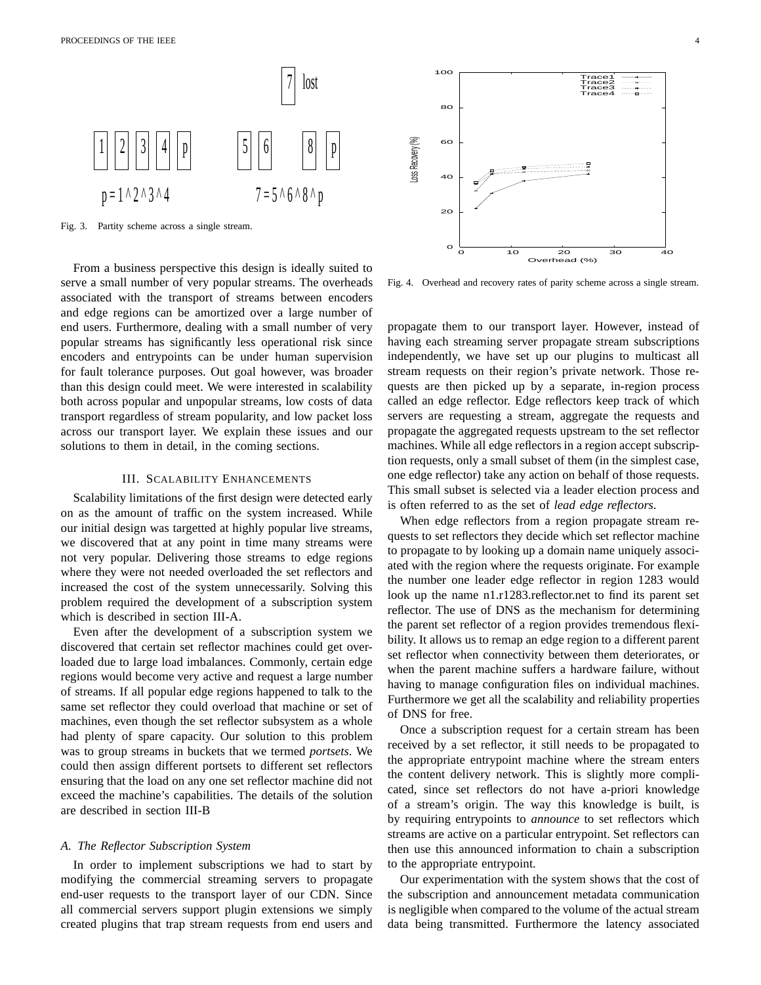

Fig. 3. Partity scheme across a single stream.

From a business perspective this design is ideally suited to serve a small number of very popular streams. The overheads associated with the transport of streams between encoders and edge regions can be amortized over a large number of end users. Furthermore, dealing with a small number of very popular streams has significantly less operational risk since encoders and entrypoints can be under human supervision for fault tolerance purposes. Out goal however, was broader than this design could meet. We were interested in scalability both across popular and unpopular streams, low costs of data transport regardless of stream popularity, and low packet loss across our transport layer. We explain these issues and our solutions to them in detail, in the coming sections.

## III. SCALABILITY ENHANCEMENTS

Scalability limitations of the first design were detected early on as the amount of traffic on the system increased. While our initial design was targetted at highly popular live streams, we discovered that at any point in time many streams were not very popular. Delivering those streams to edge regions where they were not needed overloaded the set reflectors and increased the cost of the system unnecessarily. Solving this problem required the development of a subscription system which is described in section III-A.

Even after the development of a subscription system we discovered that certain set reflector machines could get overloaded due to large load imbalances. Commonly, certain edge regions would become very active and request a large number of streams. If all popular edge regions happened to talk to the same set reflector they could overload that machine or set of machines, even though the set reflector subsystem as a whole had plenty of spare capacity. Our solution to this problem was to group streams in buckets that we termed *portsets*. We could then assign different portsets to different set reflectors ensuring that the load on any one set reflector machine did not exceed the machine's capabilities. The details of the solution are described in section III-B

#### *A. The Reflector Subscription System*

In order to implement subscriptions we had to start by modifying the commercial streaming servers to propagate end-user requests to the transport layer of our CDN. Since all commercial servers support plugin extensions we simply created plugins that trap stream requests from end users and



Fig. 4. Overhead and recovery rates of parity scheme across a single stream.

propagate them to our transport layer. However, instead of having each streaming server propagate stream subscriptions independently, we have set up our plugins to multicast all stream requests on their region's private network. Those requests are then picked up by a separate, in-region process called an edge reflector. Edge reflectors keep track of which servers are requesting a stream, aggregate the requests and propagate the aggregated requests upstream to the set reflector machines. While all edge reflectors in a region accept subscription requests, only a small subset of them (in the simplest case, one edge reflector) take any action on behalf of those requests. This small subset is selected via a leader election process and is often referred to as the set of *lead edge reflectors*.

When edge reflectors from a region propagate stream requests to set reflectors they decide which set reflector machine to propagate to by looking up a domain name uniquely associated with the region where the requests originate. For example the number one leader edge reflector in region 1283 would look up the name n1.r1283.reflector.net to find its parent set reflector. The use of DNS as the mechanism for determining the parent set reflector of a region provides tremendous flexibility. It allows us to remap an edge region to a different parent set reflector when connectivity between them deteriorates, or when the parent machine suffers a hardware failure, without having to manage configuration files on individual machines. Furthermore we get all the scalability and reliability properties of DNS for free.

Once a subscription request for a certain stream has been received by a set reflector, it still needs to be propagated to the appropriate entrypoint machine where the stream enters the content delivery network. This is slightly more complicated, since set reflectors do not have a-priori knowledge of a stream's origin. The way this knowledge is built, is by requiring entrypoints to *announce* to set reflectors which streams are active on a particular entrypoint. Set reflectors can then use this announced information to chain a subscription to the appropriate entrypoint.

Our experimentation with the system shows that the cost of the subscription and announcement metadata communication is negligible when compared to the volume of the actual stream data being transmitted. Furthermore the latency associated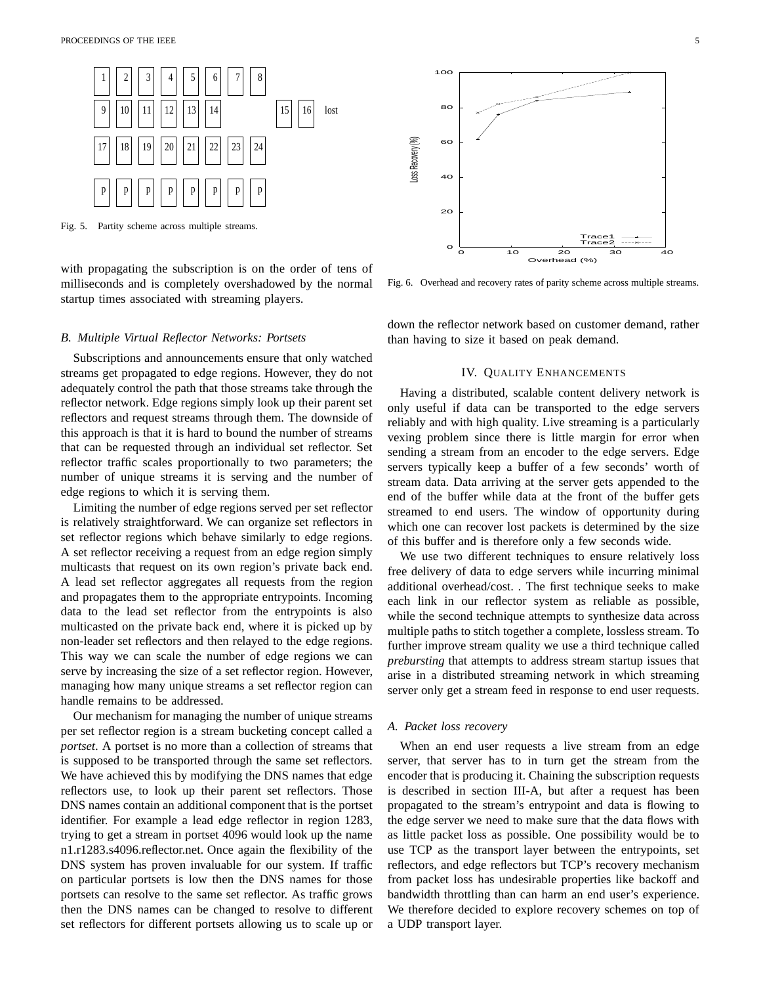

Fig. 5. Partity scheme across multiple streams.

with propagating the subscription is on the order of tens of milliseconds and is completely overshadowed by the normal startup times associated with streaming players.

#### *B. Multiple Virtual Reflector Networks: Portsets*

Subscriptions and announcements ensure that only watched streams get propagated to edge regions. However, they do not adequately control the path that those streams take through the reflector network. Edge regions simply look up their parent set reflectors and request streams through them. The downside of this approach is that it is hard to bound the number of streams that can be requested through an individual set reflector. Set reflector traffic scales proportionally to two parameters; the number of unique streams it is serving and the number of edge regions to which it is serving them.

Limiting the number of edge regions served per set reflector is relatively straightforward. We can organize set reflectors in set reflector regions which behave similarly to edge regions. A set reflector receiving a request from an edge region simply multicasts that request on its own region's private back end. A lead set reflector aggregates all requests from the region and propagates them to the appropriate entrypoints. Incoming data to the lead set reflector from the entrypoints is also multicasted on the private back end, where it is picked up by non-leader set reflectors and then relayed to the edge regions. This way we can scale the number of edge regions we can serve by increasing the size of a set reflector region. However, managing how many unique streams a set reflector region can handle remains to be addressed.

Our mechanism for managing the number of unique streams per set reflector region is a stream bucketing concept called a *portset*. A portset is no more than a collection of streams that is supposed to be transported through the same set reflectors. We have achieved this by modifying the DNS names that edge reflectors use, to look up their parent set reflectors. Those DNS names contain an additional component that is the portset identifier. For example a lead edge reflector in region 1283, trying to get a stream in portset 4096 would look up the name n1.r1283.s4096.reflector.net. Once again the flexibility of the DNS system has proven invaluable for our system. If traffic on particular portsets is low then the DNS names for those portsets can resolve to the same set reflector. As traffic grows then the DNS names can be changed to resolve to different set reflectors for different portsets allowing us to scale up or



Fig. 6. Overhead and recovery rates of parity scheme across multiple streams.

down the reflector network based on customer demand, rather than having to size it based on peak demand.

# IV. QUALITY ENHANCEMENTS

Having a distributed, scalable content delivery network is only useful if data can be transported to the edge servers reliably and with high quality. Live streaming is a particularly vexing problem since there is little margin for error when sending a stream from an encoder to the edge servers. Edge servers typically keep a buffer of a few seconds' worth of stream data. Data arriving at the server gets appended to the end of the buffer while data at the front of the buffer gets streamed to end users. The window of opportunity during which one can recover lost packets is determined by the size of this buffer and is therefore only a few seconds wide.

We use two different techniques to ensure relatively loss free delivery of data to edge servers while incurring minimal additional overhead/cost. . The first technique seeks to make each link in our reflector system as reliable as possible, while the second technique attempts to synthesize data across multiple paths to stitch together a complete, lossless stream. To further improve stream quality we use a third technique called *prebursting* that attempts to address stream startup issues that arise in a distributed streaming network in which streaming server only get a stream feed in response to end user requests.

## *A. Packet loss recovery*

When an end user requests a live stream from an edge server, that server has to in turn get the stream from the encoder that is producing it. Chaining the subscription requests is described in section III-A, but after a request has been propagated to the stream's entrypoint and data is flowing to the edge server we need to make sure that the data flows with as little packet loss as possible. One possibility would be to use TCP as the transport layer between the entrypoints, set reflectors, and edge reflectors but TCP's recovery mechanism from packet loss has undesirable properties like backoff and bandwidth throttling than can harm an end user's experience. We therefore decided to explore recovery schemes on top of a UDP transport layer.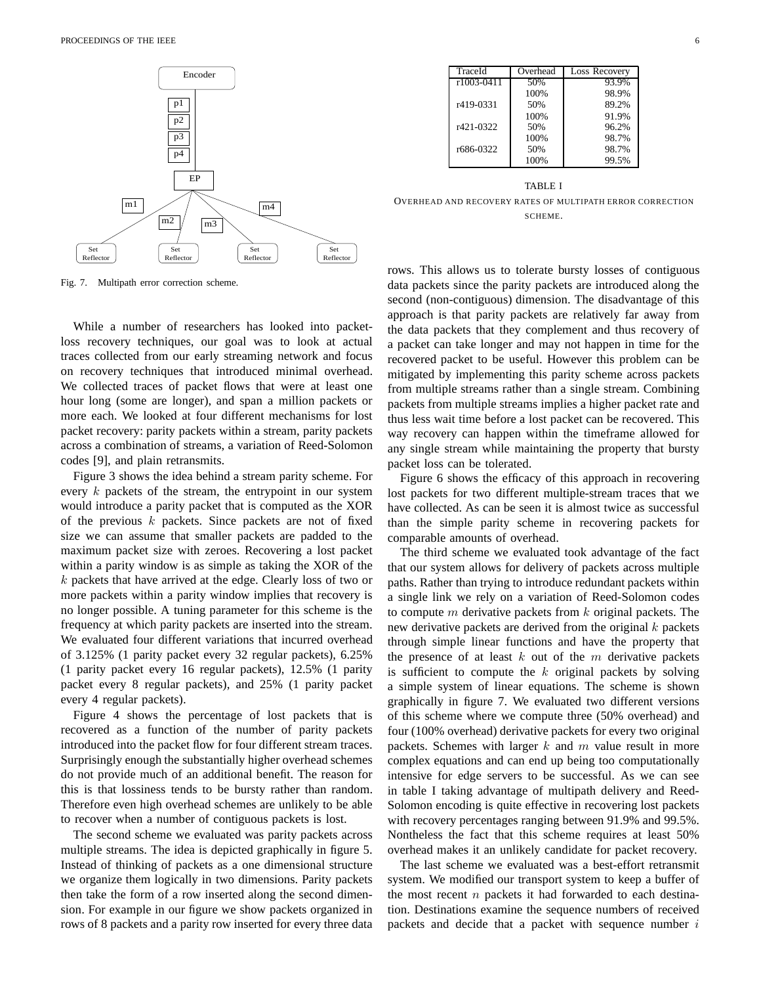

Fig. 7. Multipath error correction scheme.

While a number of researchers has looked into packetloss recovery techniques, our goal was to look at actual traces collected from our early streaming network and focus on recovery techniques that introduced minimal overhead. We collected traces of packet flows that were at least one hour long (some are longer), and span a million packets or more each. We looked at four different mechanisms for lost packet recovery: parity packets within a stream, parity packets across a combination of streams, a variation of Reed-Solomon codes [9], and plain retransmits.

Figure 3 shows the idea behind a stream parity scheme. For every  $k$  packets of the stream, the entrypoint in our system would introduce a parity packet that is computed as the XOR of the previous  $k$  packets. Since packets are not of fixed size we can assume that smaller packets are padded to the maximum packet size with zeroes. Recovering a lost packet within a parity window is as simple as taking the XOR of the k packets that have arrived at the edge. Clearly loss of two or more packets within a parity window implies that recovery is no longer possible. A tuning parameter for this scheme is the frequency at which parity packets are inserted into the stream. We evaluated four different variations that incurred overhead of 3.125% (1 parity packet every 32 regular packets), 6.25% (1 parity packet every 16 regular packets), 12.5% (1 parity packet every 8 regular packets), and 25% (1 parity packet every 4 regular packets).

Figure 4 shows the percentage of lost packets that is recovered as a function of the number of parity packets introduced into the packet flow for four different stream traces. Surprisingly enough the substantially higher overhead schemes do not provide much of an additional benefit. The reason for this is that lossiness tends to be bursty rather than random. Therefore even high overhead schemes are unlikely to be able to recover when a number of contiguous packets is lost.

The second scheme we evaluated was parity packets across multiple streams. The idea is depicted graphically in figure 5. Instead of thinking of packets as a one dimensional structure we organize them logically in two dimensions. Parity packets then take the form of a row inserted along the second dimension. For example in our figure we show packets organized in rows of 8 packets and a parity row inserted for every three data

| TraceId    | Overhead | Loss Recovery |
|------------|----------|---------------|
| r1003-0411 | 50%      | 93.9%         |
|            | 100%     | 98.9%         |
| r419-0331  | 50%      | 89.2%         |
|            | 100%     | 91.9%         |
| r421-0322  | 50%      | 96.2%         |
|            | 100%     | 98.7%         |
| r686-0322  | 50%      | 98.7%         |
|            | 100%     | 99.5%         |

TABLE I OVERHEAD AND RECOVERY RATES OF MULTIPATH ERROR CORRECTION SCHEME.

rows. This allows us to tolerate bursty losses of contiguous data packets since the parity packets are introduced along the second (non-contiguous) dimension. The disadvantage of this approach is that parity packets are relatively far away from the data packets that they complement and thus recovery of a packet can take longer and may not happen in time for the recovered packet to be useful. However this problem can be mitigated by implementing this parity scheme across packets from multiple streams rather than a single stream. Combining packets from multiple streams implies a higher packet rate and thus less wait time before a lost packet can be recovered. This way recovery can happen within the timeframe allowed for any single stream while maintaining the property that bursty packet loss can be tolerated.

Figure 6 shows the efficacy of this approach in recovering lost packets for two different multiple-stream traces that we have collected. As can be seen it is almost twice as successful than the simple parity scheme in recovering packets for comparable amounts of overhead.

The third scheme we evaluated took advantage of the fact that our system allows for delivery of packets across multiple paths. Rather than trying to introduce redundant packets within a single link we rely on a variation of Reed-Solomon codes to compute m derivative packets from  $k$  original packets. The new derivative packets are derived from the original  $k$  packets through simple linear functions and have the property that the presence of at least  $k$  out of the  $m$  derivative packets is sufficient to compute the  $k$  original packets by solving a simple system of linear equations. The scheme is shown graphically in figure 7. We evaluated two different versions of this scheme where we compute three (50% overhead) and four (100% overhead) derivative packets for every two original packets. Schemes with larger  $k$  and  $m$  value result in more complex equations and can end up being too computationally intensive for edge servers to be successful. As we can see in table I taking advantage of multipath delivery and Reed-Solomon encoding is quite effective in recovering lost packets with recovery percentages ranging between 91.9% and 99.5%. Nontheless the fact that this scheme requires at least 50% overhead makes it an unlikely candidate for packet recovery.

The last scheme we evaluated was a best-effort retransmit system. We modified our transport system to keep a buffer of the most recent  $n$  packets it had forwarded to each destination. Destinations examine the sequence numbers of received packets and decide that a packet with sequence number  $i$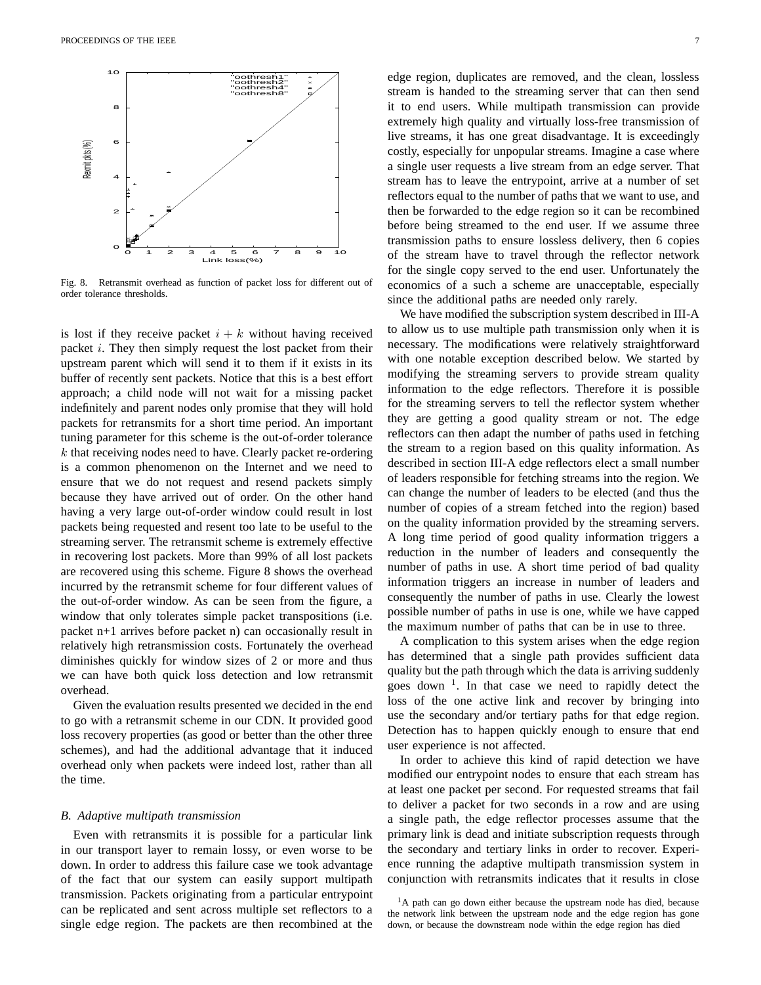

Fig. 8. Retransmit overhead as function of packet loss for different out of order tolerance thresholds.

is lost if they receive packet  $i + k$  without having received packet  $i$ . They then simply request the lost packet from their upstream parent which will send it to them if it exists in its buffer of recently sent packets. Notice that this is a best effort approach; a child node will not wait for a missing packet indefinitely and parent nodes only promise that they will hold packets for retransmits for a short time period. An important tuning parameter for this scheme is the out-of-order tolerance  $k$  that receiving nodes need to have. Clearly packet re-ordering is a common phenomenon on the Internet and we need to ensure that we do not request and resend packets simply because they have arrived out of order. On the other hand having a very large out-of-order window could result in lost packets being requested and resent too late to be useful to the streaming server. The retransmit scheme is extremely effective in recovering lost packets. More than 99% of all lost packets are recovered using this scheme. Figure 8 shows the overhead incurred by the retransmit scheme for four different values of the out-of-order window. As can be seen from the figure, a window that only tolerates simple packet transpositions (i.e. packet n+1 arrives before packet n) can occasionally result in relatively high retransmission costs. Fortunately the overhead diminishes quickly for window sizes of 2 or more and thus we can have both quick loss detection and low retransmit overhead.

Given the evaluation results presented we decided in the end to go with a retransmit scheme in our CDN. It provided good loss recovery properties (as good or better than the other three schemes), and had the additional advantage that it induced overhead only when packets were indeed lost, rather than all the time.

#### *B. Adaptive multipath transmission*

Even with retransmits it is possible for a particular link in our transport layer to remain lossy, or even worse to be down. In order to address this failure case we took advantage of the fact that our system can easily support multipath transmission. Packets originating from a particular entrypoint can be replicated and sent across multiple set reflectors to a single edge region. The packets are then recombined at the

edge region, duplicates are removed, and the clean, lossless stream is handed to the streaming server that can then send it to end users. While multipath transmission can provide extremely high quality and virtually loss-free transmission of live streams, it has one great disadvantage. It is exceedingly costly, especially for unpopular streams. Imagine a case where a single user requests a live stream from an edge server. That stream has to leave the entrypoint, arrive at a number of set reflectors equal to the number of paths that we want to use, and then be forwarded to the edge region so it can be recombined before being streamed to the end user. If we assume three transmission paths to ensure lossless delivery, then 6 copies of the stream have to travel through the reflector network for the single copy served to the end user. Unfortunately the economics of a such a scheme are unacceptable, especially since the additional paths are needed only rarely.

We have modified the subscription system described in III-A to allow us to use multiple path transmission only when it is necessary. The modifications were relatively straightforward with one notable exception described below. We started by modifying the streaming servers to provide stream quality information to the edge reflectors. Therefore it is possible for the streaming servers to tell the reflector system whether they are getting a good quality stream or not. The edge reflectors can then adapt the number of paths used in fetching the stream to a region based on this quality information. As described in section III-A edge reflectors elect a small number of leaders responsible for fetching streams into the region. We can change the number of leaders to be elected (and thus the number of copies of a stream fetched into the region) based on the quality information provided by the streaming servers. A long time period of good quality information triggers a reduction in the number of leaders and consequently the number of paths in use. A short time period of bad quality information triggers an increase in number of leaders and consequently the number of paths in use. Clearly the lowest possible number of paths in use is one, while we have capped the maximum number of paths that can be in use to three.

A complication to this system arises when the edge region has determined that a single path provides sufficient data quality but the path through which the data is arriving suddenly goes down<sup>1</sup>. In that case we need to rapidly detect the loss of the one active link and recover by bringing into use the secondary and/or tertiary paths for that edge region. Detection has to happen quickly enough to ensure that end user experience is not affected.

In order to achieve this kind of rapid detection we have modified our entrypoint nodes to ensure that each stream has at least one packet per second. For requested streams that fail to deliver a packet for two seconds in a row and are using a single path, the edge reflector processes assume that the primary link is dead and initiate subscription requests through the secondary and tertiary links in order to recover. Experience running the adaptive multipath transmission system in conjunction with retransmits indicates that it results in close

<sup>&</sup>lt;sup>1</sup>A path can go down either because the upstream node has died, because the network link between the upstream node and the edge region has gone down, or because the downstream node within the edge region has died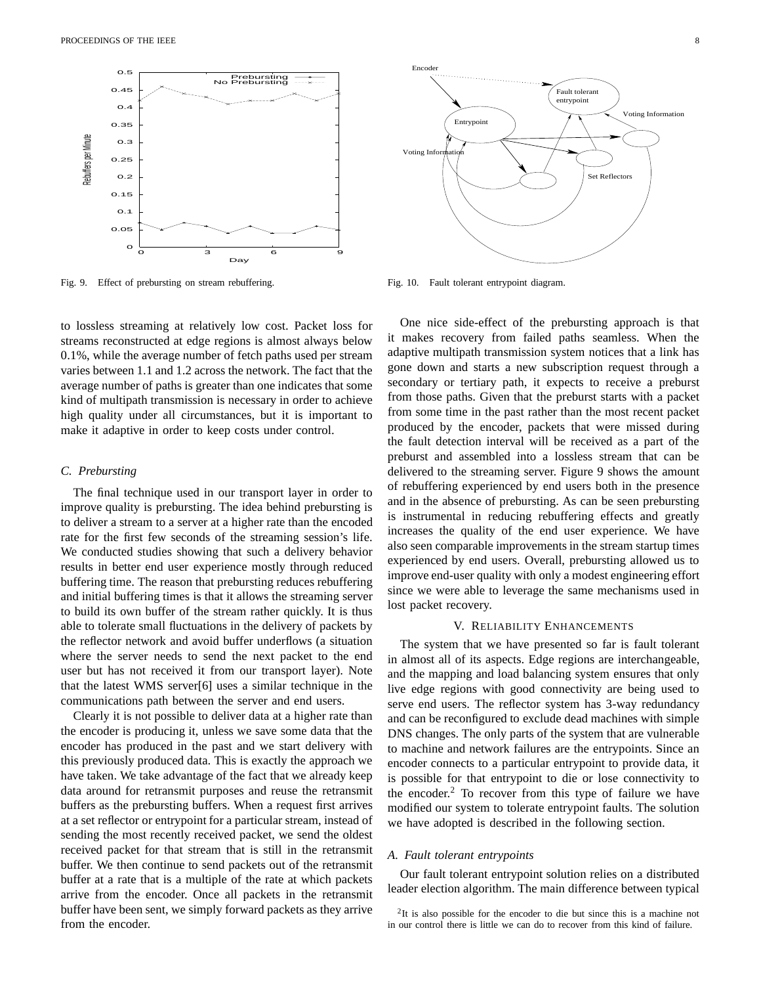

Fig. 9. Effect of prebursting on stream rebuffering.

to lossless streaming at relatively low cost. Packet loss for streams reconstructed at edge regions is almost always below 0.1%, while the average number of fetch paths used per stream varies between 1.1 and 1.2 across the network. The fact that the average number of paths is greater than one indicates that some kind of multipath transmission is necessary in order to achieve high quality under all circumstances, but it is important to make it adaptive in order to keep costs under control.

## *C. Prebursting*

The final technique used in our transport layer in order to improve quality is prebursting. The idea behind prebursting is to deliver a stream to a server at a higher rate than the encoded rate for the first few seconds of the streaming session's life. We conducted studies showing that such a delivery behavior results in better end user experience mostly through reduced buffering time. The reason that prebursting reduces rebuffering and initial buffering times is that it allows the streaming server to build its own buffer of the stream rather quickly. It is thus able to tolerate small fluctuations in the delivery of packets by the reflector network and avoid buffer underflows (a situation where the server needs to send the next packet to the end user but has not received it from our transport layer). Note that the latest WMS server[6] uses a similar technique in the communications path between the server and end users.

Clearly it is not possible to deliver data at a higher rate than the encoder is producing it, unless we save some data that the encoder has produced in the past and we start delivery with this previously produced data. This is exactly the approach we have taken. We take advantage of the fact that we already keep data around for retransmit purposes and reuse the retransmit buffers as the prebursting buffers. When a request first arrives at a set reflector or entrypoint for a particular stream, instead of sending the most recently received packet, we send the oldest received packet for that stream that is still in the retransmit buffer. We then continue to send packets out of the retransmit buffer at a rate that is a multiple of the rate at which packets arrive from the encoder. Once all packets in the retransmit buffer have been sent, we simply forward packets as they arrive from the encoder.



Fig. 10. Fault tolerant entrypoint diagram.

One nice side-effect of the prebursting approach is that it makes recovery from failed paths seamless. When the adaptive multipath transmission system notices that a link has gone down and starts a new subscription request through a secondary or tertiary path, it expects to receive a preburst from those paths. Given that the preburst starts with a packet from some time in the past rather than the most recent packet produced by the encoder, packets that were missed during the fault detection interval will be received as a part of the preburst and assembled into a lossless stream that can be delivered to the streaming server. Figure 9 shows the amount of rebuffering experienced by end users both in the presence and in the absence of prebursting. As can be seen prebursting is instrumental in reducing rebuffering effects and greatly increases the quality of the end user experience. We have also seen comparable improvements in the stream startup times experienced by end users. Overall, prebursting allowed us to improve end-user quality with only a modest engineering effort since we were able to leverage the same mechanisms used in lost packet recovery.

#### V. RELIABILITY ENHANCEMENTS

The system that we have presented so far is fault tolerant in almost all of its aspects. Edge regions are interchangeable, and the mapping and load balancing system ensures that only live edge regions with good connectivity are being used to serve end users. The reflector system has 3-way redundancy and can be reconfigured to exclude dead machines with simple DNS changes. The only parts of the system that are vulnerable to machine and network failures are the entrypoints. Since an encoder connects to a particular entrypoint to provide data, it is possible for that entrypoint to die or lose connectivity to the encoder. <sup>2</sup> To recover from this type of failure we have modified our system to tolerate entrypoint faults. The solution we have adopted is described in the following section.

#### *A. Fault tolerant entrypoints*

Our fault tolerant entrypoint solution relies on a distributed leader election algorithm. The main difference between typical

 $2$ It is also possible for the encoder to die but since this is a machine not in our control there is little we can do to recover from this kind of failure.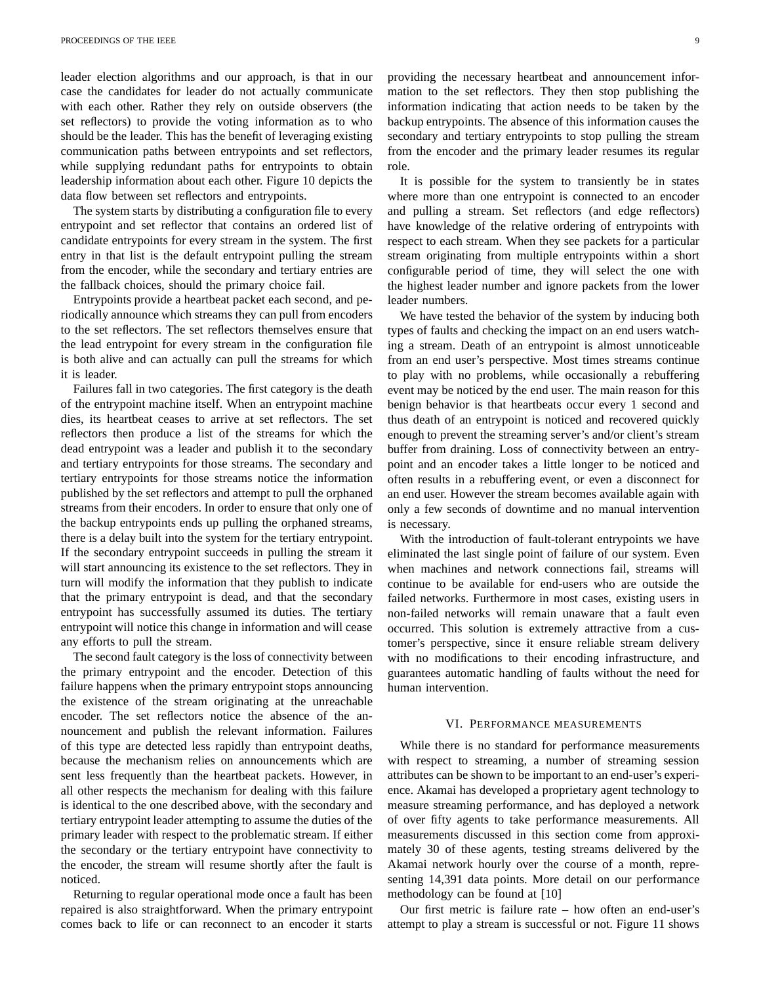leader election algorithms and our approach, is that in our case the candidates for leader do not actually communicate with each other. Rather they rely on outside observers (the set reflectors) to provide the voting information as to who should be the leader. This has the benefit of leveraging existing communication paths between entrypoints and set reflectors, while supplying redundant paths for entrypoints to obtain leadership information about each other. Figure 10 depicts the data flow between set reflectors and entrypoints.

The system starts by distributing a configuration file to every entrypoint and set reflector that contains an ordered list of candidate entrypoints for every stream in the system. The first entry in that list is the default entrypoint pulling the stream from the encoder, while the secondary and tertiary entries are the fallback choices, should the primary choice fail.

Entrypoints provide a heartbeat packet each second, and periodically announce which streams they can pull from encoders to the set reflectors. The set reflectors themselves ensure that the lead entrypoint for every stream in the configuration file is both alive and can actually can pull the streams for which it is leader.

Failures fall in two categories. The first category is the death of the entrypoint machine itself. When an entrypoint machine dies, its heartbeat ceases to arrive at set reflectors. The set reflectors then produce a list of the streams for which the dead entrypoint was a leader and publish it to the secondary and tertiary entrypoints for those streams. The secondary and tertiary entrypoints for those streams notice the information published by the set reflectors and attempt to pull the orphaned streams from their encoders. In order to ensure that only one of the backup entrypoints ends up pulling the orphaned streams, there is a delay built into the system for the tertiary entrypoint. If the secondary entrypoint succeeds in pulling the stream it will start announcing its existence to the set reflectors. They in turn will modify the information that they publish to indicate that the primary entrypoint is dead, and that the secondary entrypoint has successfully assumed its duties. The tertiary entrypoint will notice this change in information and will cease any efforts to pull the stream.

The second fault category is the loss of connectivity between the primary entrypoint and the encoder. Detection of this failure happens when the primary entrypoint stops announcing the existence of the stream originating at the unreachable encoder. The set reflectors notice the absence of the announcement and publish the relevant information. Failures of this type are detected less rapidly than entrypoint deaths, because the mechanism relies on announcements which are sent less frequently than the heartbeat packets. However, in all other respects the mechanism for dealing with this failure is identical to the one described above, with the secondary and tertiary entrypoint leader attempting to assume the duties of the primary leader with respect to the problematic stream. If either the secondary or the tertiary entrypoint have connectivity to the encoder, the stream will resume shortly after the fault is noticed.

Returning to regular operational mode once a fault has been repaired is also straightforward. When the primary entrypoint comes back to life or can reconnect to an encoder it starts

providing the necessary heartbeat and announcement information to the set reflectors. They then stop publishing the information indicating that action needs to be taken by the backup entrypoints. The absence of this information causes the secondary and tertiary entrypoints to stop pulling the stream from the encoder and the primary leader resumes its regular role.

It is possible for the system to transiently be in states where more than one entrypoint is connected to an encoder and pulling a stream. Set reflectors (and edge reflectors) have knowledge of the relative ordering of entrypoints with respect to each stream. When they see packets for a particular stream originating from multiple entrypoints within a short configurable period of time, they will select the one with the highest leader number and ignore packets from the lower leader numbers.

We have tested the behavior of the system by inducing both types of faults and checking the impact on an end users watching a stream. Death of an entrypoint is almost unnoticeable from an end user's perspective. Most times streams continue to play with no problems, while occasionally a rebuffering event may be noticed by the end user. The main reason for this benign behavior is that heartbeats occur every 1 second and thus death of an entrypoint is noticed and recovered quickly enough to prevent the streaming server's and/or client's stream buffer from draining. Loss of connectivity between an entrypoint and an encoder takes a little longer to be noticed and often results in a rebuffering event, or even a disconnect for an end user. However the stream becomes available again with only a few seconds of downtime and no manual intervention is necessary.

With the introduction of fault-tolerant entrypoints we have eliminated the last single point of failure of our system. Even when machines and network connections fail, streams will continue to be available for end-users who are outside the failed networks. Furthermore in most cases, existing users in non-failed networks will remain unaware that a fault even occurred. This solution is extremely attractive from a customer's perspective, since it ensure reliable stream delivery with no modifications to their encoding infrastructure, and guarantees automatic handling of faults without the need for human intervention.

# VI. PERFORMANCE MEASUREMENTS

While there is no standard for performance measurements with respect to streaming, a number of streaming session attributes can be shown to be important to an end-user's experience. Akamai has developed a proprietary agent technology to measure streaming performance, and has deployed a network of over fifty agents to take performance measurements. All measurements discussed in this section come from approximately 30 of these agents, testing streams delivered by the Akamai network hourly over the course of a month, representing 14,391 data points. More detail on our performance methodology can be found at [10]

Our first metric is failure rate – how often an end-user's attempt to play a stream is successful or not. Figure 11 shows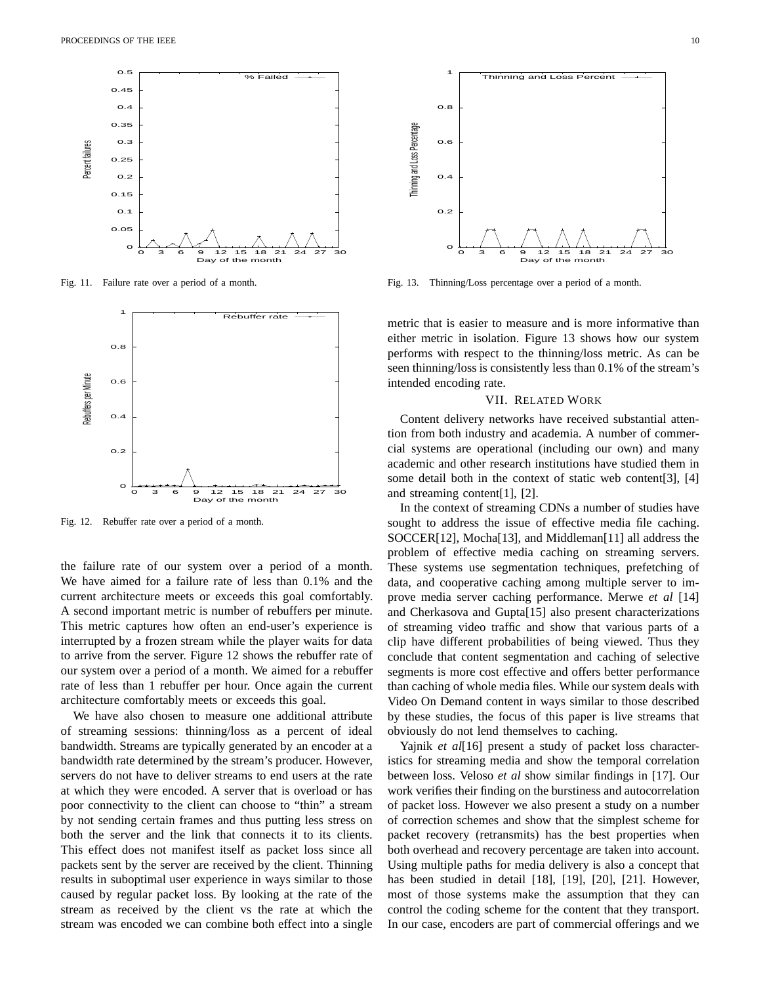

Fig. 11. Failure rate over a period of a month.



Fig. 12. Rebuffer rate over a period of a month.

the failure rate of our system over a period of a month. We have aimed for a failure rate of less than 0.1% and the current architecture meets or exceeds this goal comfortably. A second important metric is number of rebuffers per minute. This metric captures how often an end-user's experience is interrupted by a frozen stream while the player waits for data to arrive from the server. Figure 12 shows the rebuffer rate of our system over a period of a month. We aimed for a rebuffer rate of less than 1 rebuffer per hour. Once again the current architecture comfortably meets or exceeds this goal.

We have also chosen to measure one additional attribute of streaming sessions: thinning/loss as a percent of ideal bandwidth. Streams are typically generated by an encoder at a bandwidth rate determined by the stream's producer. However, servers do not have to deliver streams to end users at the rate at which they were encoded. A server that is overload or has poor connectivity to the client can choose to "thin" a stream by not sending certain frames and thus putting less stress on both the server and the link that connects it to its clients. This effect does not manifest itself as packet loss since all packets sent by the server are received by the client. Thinning results in suboptimal user experience in ways similar to those caused by regular packet loss. By looking at the rate of the stream as received by the client vs the rate at which the stream was encoded we can combine both effect into a single



Fig. 13. Thinning/Loss percentage over a period of a month.

metric that is easier to measure and is more informative than either metric in isolation. Figure 13 shows how our system performs with respect to the thinning/loss metric. As can be seen thinning/loss is consistently less than 0.1% of the stream's intended encoding rate.

## VII. RELATED WORK

Content delivery networks have received substantial attention from both industry and academia. A number of commercial systems are operational (including our own) and many academic and other research institutions have studied them in some detail both in the context of static web content[3], [4] and streaming content[1], [2].

In the context of streaming CDNs a number of studies have sought to address the issue of effective media file caching. SOCCER[12], Mocha[13], and Middleman[11] all address the problem of effective media caching on streaming servers. These systems use segmentation techniques, prefetching of data, and cooperative caching among multiple server to improve media server caching performance. Merwe *et al* [14] and Cherkasova and Gupta[15] also present characterizations of streaming video traffic and show that various parts of a clip have different probabilities of being viewed. Thus they conclude that content segmentation and caching of selective segments is more cost effective and offers better performance than caching of whole media files. While our system deals with Video On Demand content in ways similar to those described by these studies, the focus of this paper is live streams that obviously do not lend themselves to caching.

Yajnik *et al*[16] present a study of packet loss characteristics for streaming media and show the temporal correlation between loss. Veloso *et al* show similar findings in [17]. Our work verifies their finding on the burstiness and autocorrelation of packet loss. However we also present a study on a number of correction schemes and show that the simplest scheme for packet recovery (retransmits) has the best properties when both overhead and recovery percentage are taken into account. Using multiple paths for media delivery is also a concept that has been studied in detail [18], [19], [20], [21]. However, most of those systems make the assumption that they can control the coding scheme for the content that they transport. In our case, encoders are part of commercial offerings and we